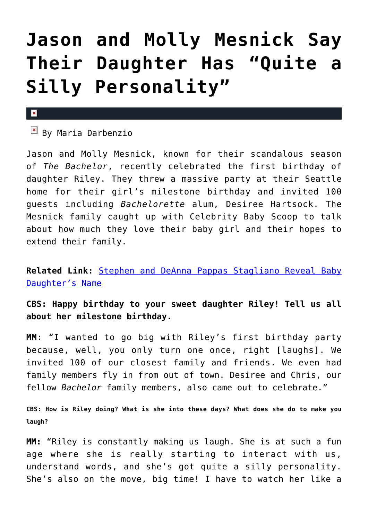## **[Jason and Molly Mesnick Say](https://cupidspulse.com/73186/jason-and-molly-mesnick-say-daughter-has-silly-personality/) [Their Daughter Has "Quite a](https://cupidspulse.com/73186/jason-and-molly-mesnick-say-daughter-has-silly-personality/) [Silly Personality"](https://cupidspulse.com/73186/jason-and-molly-mesnick-say-daughter-has-silly-personality/)**

## $\mathbf x$

 $B$  By Maria Darbenzio

Jason and Molly Mesnick, known for their scandalous season of *The Bachelor*, recently celebrated the first birthday of daughter Riley. They threw a massive party at their Seattle home for their girl's milestone birthday and invited 100 guests including *Bachelorette* alum, Desiree Hartsock. The Mesnick family caught up with Celebrity Baby Scoop to talk about how much they love their baby girl and their hopes to extend their family.

**Related Link:** [Stephen and DeAnna Pappas Stagliano Reveal Baby](http://cupidspulse.com/stephen-deanna-pappas-stagliano-baby-name/) [Daughter's Name](http://cupidspulse.com/stephen-deanna-pappas-stagliano-baby-name/)

**CBS: Happy birthday to your sweet daughter Riley! Tell us all about her milestone birthday.**

**MM:** "I wanted to go big with Riley's first birthday party because, well, you only turn one once, right [laughs]. We invited 100 of our closest family and friends. We even had family members fly in from out of town. Desiree and Chris, our fellow *Bachelor* family members, also came out to celebrate."

**CBS: How is Riley doing? What is she into these days? What does she do to make you laugh?**

**MM:** "Riley is constantly making us laugh. She is at such a fun age where she is really starting to interact with us, understand words, and she's got quite a silly personality. She's also on the move, big time! I have to watch her like a